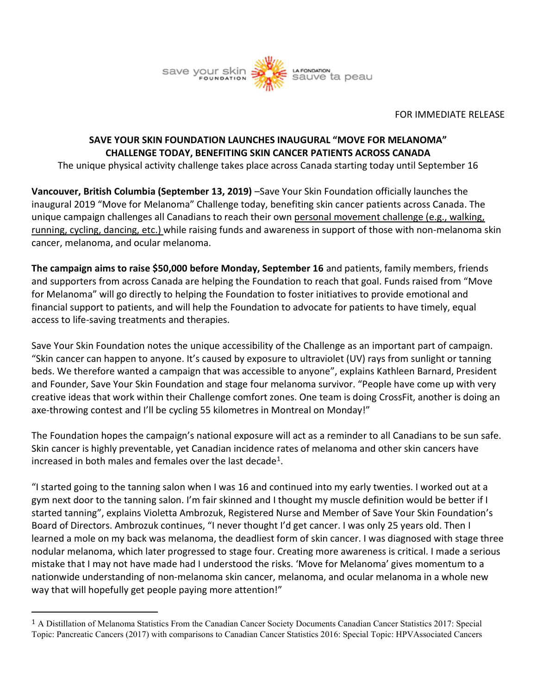

## FOR IMMEDIATE RELEASE

## **SAVE YOUR SKIN FOUNDATION LAUNCHES INAUGURAL "MOVE FOR MELANOMA" CHALLENGE TODAY, BENEFITING SKIN CANCER PATIENTS ACROSS CANADA**

The unique physical activity challenge takes place across Canada starting today until September 16

**Vancouver, British Columbia (September 13, 2019)** –Save Your Skin Foundation officially launches the inaugural 2019 "Move for Melanoma" Challenge today, benefiting skin cancer patients across Canada. The unique campaign challenges all Canadians to reach their own personal movement challenge (e.g., walking, running, cycling, dancing, etc.) while raising funds and awareness in support of those with non-melanoma skin cancer, melanoma, and ocular melanoma.

**The campaign aims to raise \$50,000 before Monday, September 16** and patients, family members, friends and supporters from across Canada are helping the Foundation to reach that goal. Funds raised from "Move for Melanoma" will go directly to helping the Foundation to foster initiatives to provide emotional and financial support to patients, and will help the Foundation to advocate for patients to have timely, equal access to life-saving treatments and therapies.

Save Your Skin Foundation notes the unique accessibility of the Challenge as an important part of campaign. "Skin cancer can happen to anyone. It's caused by exposure to ultraviolet (UV) rays from sunlight or tanning beds. We therefore wanted a campaign that was accessible to anyone", explains Kathleen Barnard, President and Founder, Save Your Skin Foundation and stage four melanoma survivor. "People have come up with very creative ideas that work within their Challenge comfort zones. One team is doing CrossFit, another is doing an axe-throwing contest and I'll be cycling 55 kilometres in Montreal on Monday!"

The Foundation hopes the campaign's national exposure will act as a reminder to all Canadians to be sun safe. Skin cancer is highly preventable, yet Canadian incidence rates of melanoma and other skin cancers have increased in both males and females over the last decade<sup>1</sup>.

"I started going to the tanning salon when I was 16 and continued into my early twenties. I worked out at a gym next door to the tanning salon. I'm fair skinned and I thought my muscle definition would be better if I started tanning", explains Violetta Ambrozuk, Registered Nurse and Member of Save Your Skin Foundation's Board of Directors. Ambrozuk continues, "I never thought I'd get cancer. I was only 25 years old. Then I learned a mole on my back was melanoma, the deadliest form of skin cancer. I was diagnosed with stage three nodular melanoma, which later progressed to stage four. Creating more awareness is critical. I made a serious mistake that I may not have made had I understood the risks. 'Move for Melanoma' gives momentum to a nationwide understanding of non-melanoma skin cancer, melanoma, and ocular melanoma in a whole new way that will hopefully get people paying more attention!"

<sup>1</sup> A Distillation of Melanoma Statistics From the Canadian Cancer Society Documents Canadian Cancer Statistics 2017: Special Topic: Pancreatic Cancers (2017) with comparisons to Canadian Cancer Statistics 2016: Special Topic: HPVAssociated Cancers